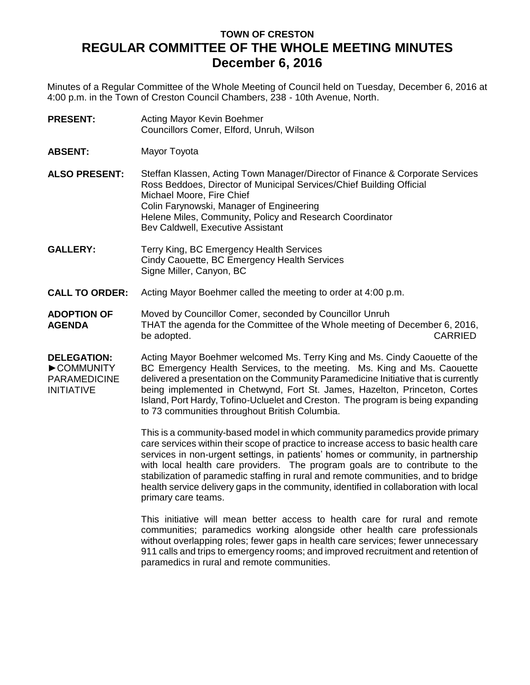# **TOWN OF CRESTON REGULAR COMMITTEE OF THE WHOLE MEETING MINUTES December 6, 2016**

Minutes of a Regular Committee of the Whole Meeting of Council held on Tuesday, December 6, 2016 at 4:00 p.m. in the Town of Creston Council Chambers, 238 - 10th Avenue, North.

- **PRESENT:** Acting Mayor Kevin Boehmer Councillors Comer, Elford, Unruh, Wilson
- **ABSENT:** Mayor Toyota
- **ALSO PRESENT:** Steffan Klassen, Acting Town Manager/Director of Finance & Corporate Services Ross Beddoes, Director of Municipal Services/Chief Building Official Michael Moore, Fire Chief Colin Farynowski, Manager of Engineering Helene Miles, Community, Policy and Research Coordinator Bev Caldwell, Executive Assistant
- **GALLERY:** Terry King, BC Emergency Health Services Cindy Caouette, BC Emergency Health Services Signe Miller, Canyon, BC
- **CALL TO ORDER:** Acting Mayor Boehmer called the meeting to order at 4:00 p.m.
- **ADOPTION OF AGENDA** Moved by Councillor Comer, seconded by Councillor Unruh THAT the agenda for the Committee of the Whole meeting of December 6, 2016,<br>be adopted. CARRIED be adopted.
- **DELEGATION:** ►COMMUNITY PARAMEDICINE INITIATIVE Acting Mayor Boehmer welcomed Ms. Terry King and Ms. Cindy Caouette of the BC Emergency Health Services, to the meeting. Ms. King and Ms. Caouette delivered a presentation on the Community Paramedicine Initiative that is currently being implemented in Chetwynd, Fort St. James, Hazelton, Princeton, Cortes Island, Port Hardy, Tofino-Ucluelet and Creston. The program is being expanding to 73 communities throughout British Columbia.

This is a community-based model in which community paramedics provide primary care services within their scope of practice to increase access to basic health care services in non-urgent settings, in patients' homes or community, in partnership with local health care providers. The program goals are to contribute to the stabilization of paramedic staffing in rural and remote communities, and to bridge health service delivery gaps in the community, identified in collaboration with local primary care teams.

This initiative will mean better access to health care for rural and remote communities; paramedics working alongside other health care professionals without overlapping roles; fewer gaps in health care services; fewer unnecessary 911 calls and trips to emergency rooms; and improved recruitment and retention of paramedics in rural and remote communities.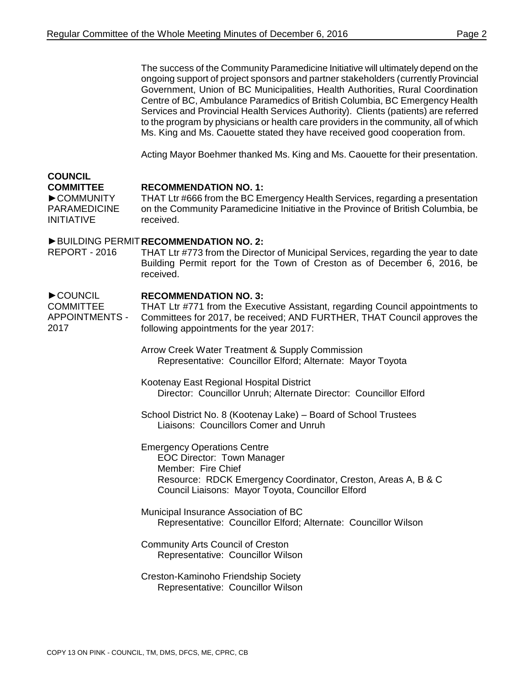The success of the Community Paramedicine Initiative will ultimately depend on the ongoing support of project sponsors and partner stakeholders (currently Provincial Government, Union of BC Municipalities, Health Authorities, Rural Coordination Centre of BC, Ambulance Paramedics of British Columbia, BC Emergency Health Services and Provincial Health Services Authority). Clients (patients) are referred to the program by physicians or health care providers in the community, all of which Ms. King and Ms. Caouette stated they have received good cooperation from.

Acting Mayor Boehmer thanked Ms. King and Ms. Caouette for their presentation.

#### **COUNCIL COMMITTEE**

### **RECOMMENDATION NO. 1:**

►COMMUNITY PARAMEDICINE INITIATIVE THAT Ltr #666 from the BC Emergency Health Services, regarding a presentation on the Community Paramedicine Initiative in the Province of British Columbia, be received.

## ►BUILDING PERMIT **RECOMMENDATION NO. 2:**

REPORT - 2016 THAT Ltr #773 from the Director of Municipal Services, regarding the year to date Building Permit report for the Town of Creston as of December 6, 2016, be received.

#### ►COUNCIL **RECOMMENDATION NO. 3:**

COMMITTEE APPOINTMENTS - 2017 THAT Ltr #771 from the Executive Assistant, regarding Council appointments to Committees for 2017, be received; AND FURTHER, THAT Council approves the following appointments for the year 2017:

- Arrow Creek Water Treatment & Supply Commission Representative: Councillor Elford; Alternate: Mayor Toyota
- Kootenay East Regional Hospital District Director: Councillor Unruh; Alternate Director: Councillor Elford
- School District No. 8 (Kootenay Lake) Board of School Trustees Liaisons: Councillors Comer and Unruh
- Emergency Operations Centre EOC Director: Town Manager Member: Fire Chief Resource: RDCK Emergency Coordinator, Creston, Areas A, B & C Council Liaisons: Mayor Toyota, Councillor Elford
- Municipal Insurance Association of BC Representative: Councillor Elford; Alternate: Councillor Wilson
- Community Arts Council of Creston Representative: Councillor Wilson
- Creston-Kaminoho Friendship Society Representative: Councillor Wilson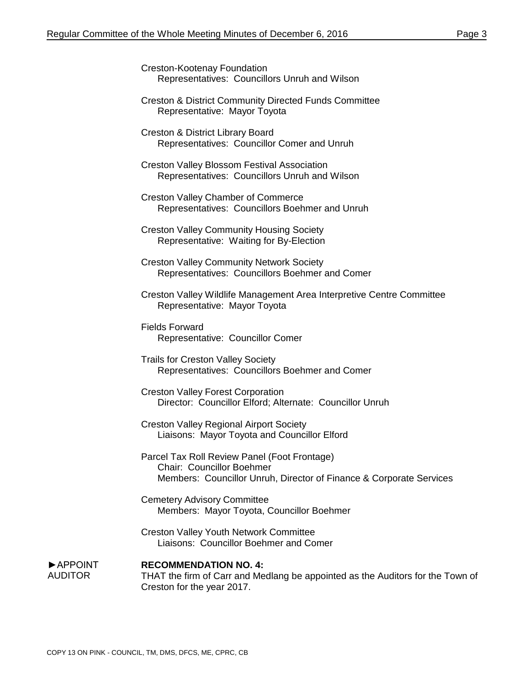| Creston-Kootenay Foundation |                                               |
|-----------------------------|-----------------------------------------------|
|                             | Representatives: Councillors Unruh and Wilson |

Creston & District Community Directed Funds Committee Representative: Mayor Toyota

Creston & District Library Board Representatives: Councillor Comer and Unruh

Creston Valley Blossom Festival Association Representatives: Councillors Unruh and Wilson

Creston Valley Chamber of Commerce Representatives: Councillors Boehmer and Unruh

Creston Valley Community Housing Society Representative: Waiting for By-Election

Creston Valley Community Network Society Representatives: Councillors Boehmer and Comer

Creston Valley Wildlife Management Area Interpretive Centre Committee Representative: Mayor Toyota

Fields Forward Representative: Councillor Comer

Trails for Creston Valley Society Representatives: Councillors Boehmer and Comer

Creston Valley Forest Corporation Director: Councillor Elford; Alternate: Councillor Unruh

Creston Valley Regional Airport Society Liaisons: Mayor Toyota and Councillor Elford

Parcel Tax Roll Review Panel (Foot Frontage) Chair: Councillor Boehmer Members: Councillor Unruh, Director of Finance & Corporate Services

Cemetery Advisory Committee Members: Mayor Toyota, Councillor Boehmer

Creston Valley Youth Network Committee Liaisons: Councillor Boehmer and Comer

►APPOINT AUDITOR

**RECOMMENDATION NO. 4:** THAT the firm of Carr and Medlang be appointed as the Auditors for the Town of Creston for the year 2017.